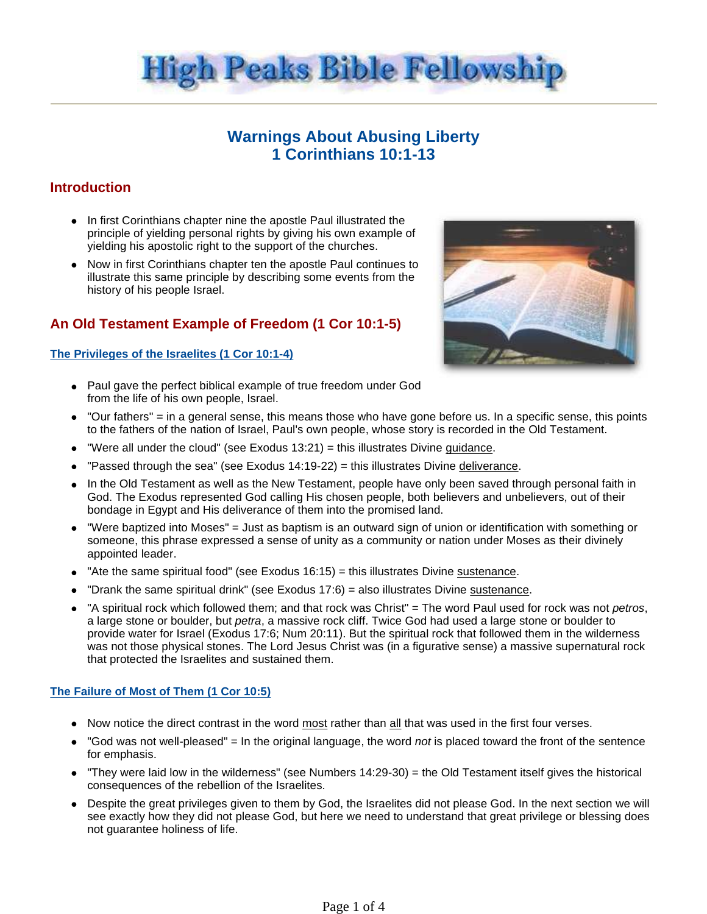

# **Warnings About Abusing Liberty 1 Corinthians 10:1-13**

# **Introduction**

- In first Corinthians chapter nine the apostle Paul illustrated the principle of yielding personal rights by giving his own example of yielding his apostolic right to the support of the churches.
- Now in first Corinthians chapter ten the apostle Paul continues to illustrate this same principle by describing some events from the history of his people Israel.

# **An Old Testament Example of Freedom (1 Cor 10:1-5)**

### **The Privileges of the Israelites (1 Cor 10:1-4)**



- Paul gave the perfect biblical example of true freedom under God from the life of his own people, Israel.
- "Our fathers" = in a general sense, this means those who have gone before us. In a specific sense, this points to the fathers of the nation of Israel, Paul's own people, whose story is recorded in the Old Testament.
- $\bullet$  "Were all under the cloud" (see Exodus 13:21) = this illustrates Divine guidance.
- $\bullet$  "Passed through the sea" (see Exodus 14:19-22) = this illustrates Divine deliverance.
- In the Old Testament as well as the New Testament, people have only been saved through personal faith in God. The Exodus represented God calling His chosen people, both believers and unbelievers, out of their bondage in Egypt and His deliverance of them into the promised land.
- "Were baptized into Moses" = Just as baptism is an outward sign of union or identification with something or someone, this phrase expressed a sense of unity as a community or nation under Moses as their divinely appointed leader.
- "Ate the same spiritual food" (see Exodus  $16:15$ ) = this illustrates Divine sustenance.
- "Drank the same spiritual drink" (see Exodus 17:6) = also illustrates Divine sustenance.
- "A spiritual rock which followed them; and that rock was Christ" = The word Paul used for rock was not petros, a large stone or boulder, but petra, a massive rock cliff. Twice God had used a large stone or boulder to provide water for Israel (Exodus 17:6; Num 20:11). But the spiritual rock that followed them in the wilderness was not those physical stones. The Lord Jesus Christ was (in a figurative sense) a massive supernatural rock that protected the Israelites and sustained them.

## **The Failure of Most of Them (1 Cor 10:5)**

- Now notice the direct contrast in the word most rather than all that was used in the first four verses.
- "God was not well-pleased" = In the original language, the word not is placed toward the front of the sentence for emphasis.
- "They were laid low in the wilderness" (see Numbers 14:29-30) = the Old Testament itself gives the historical consequences of the rebellion of the Israelites.
- Despite the great privileges given to them by God, the Israelites did not please God. In the next section we will see exactly how they did not please God, but here we need to understand that great privilege or blessing does not guarantee holiness of life.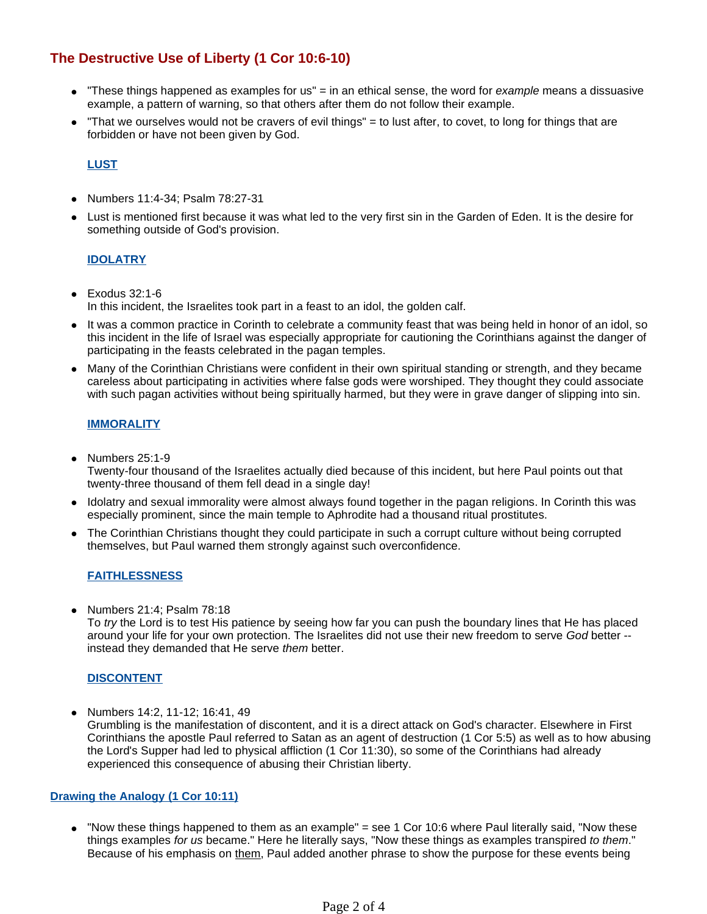# **The Destructive Use of Liberty (1 Cor 10:6-10)**

- $\bullet$  "These things happened as examples for us" = in an ethical sense, the word for *example* means a dissuasive example, a pattern of warning, so that others after them do not follow their example.
- "That we ourselves would not be cravers of evil things" = to lust after, to covet, to long for things that are forbidden or have not been given by God.

### **LUST**

- Numbers 11:4-34; Psalm 78:27-31
- Lust is mentioned first because it was what led to the very first sin in the Garden of Eden. It is the desire for something outside of God's provision.

#### **IDOLATRY**

- $\bullet$  Exodus 32:1-6 In this incident, the Israelites took part in a feast to an idol, the golden calf.
- It was a common practice in Corinth to celebrate a community feast that was being held in honor of an idol, so this incident in the life of Israel was especially appropriate for cautioning the Corinthians against the danger of participating in the feasts celebrated in the pagan temples.
- Many of the Corinthian Christians were confident in their own spiritual standing or strength, and they became careless about participating in activities where false gods were worshiped. They thought they could associate with such pagan activities without being spiritually harmed, but they were in grave danger of slipping into sin.

#### **IMMORALITY**

- $\bullet$  Numbers 25:1-9 Twenty-four thousand of the Israelites actually died because of this incident, but here Paul points out that twenty-three thousand of them fell dead in a single day!
- Idolatry and sexual immorality were almost always found together in the pagan religions. In Corinth this was especially prominent, since the main temple to Aphrodite had a thousand ritual prostitutes.
- The Corinthian Christians thought they could participate in such a corrupt culture without being corrupted themselves, but Paul warned them strongly against such overconfidence.

#### **FAITHLESSNESS**

 $\bullet$  Numbers 21:4; Psalm 78:18

To try the Lord is to test His patience by seeing how far you can push the boundary lines that He has placed around your life for your own protection. The Israelites did not use their new freedom to serve God better - instead they demanded that He serve them better.

#### **DISCONTENT**

• Numbers 14:2, 11-12; 16:41, 49 Grumbling is the manifestation of discontent, and it is a direct attack on God's character. Elsewhere in First Corinthians the apostle Paul referred to Satan as an agent of destruction (1 Cor 5:5) as well as to how abusing the Lord's Supper had led to physical affliction (1 Cor 11:30), so some of the Corinthians had already experienced this consequence of abusing their Christian liberty.

#### **Drawing the Analogy (1 Cor 10:11)**

 "Now these things happened to them as an example" = see 1 Cor 10:6 where Paul literally said, "Now these things examples for us became." Here he literally says, "Now these things as examples transpired to them." Because of his emphasis on them, Paul added another phrase to show the purpose for these events being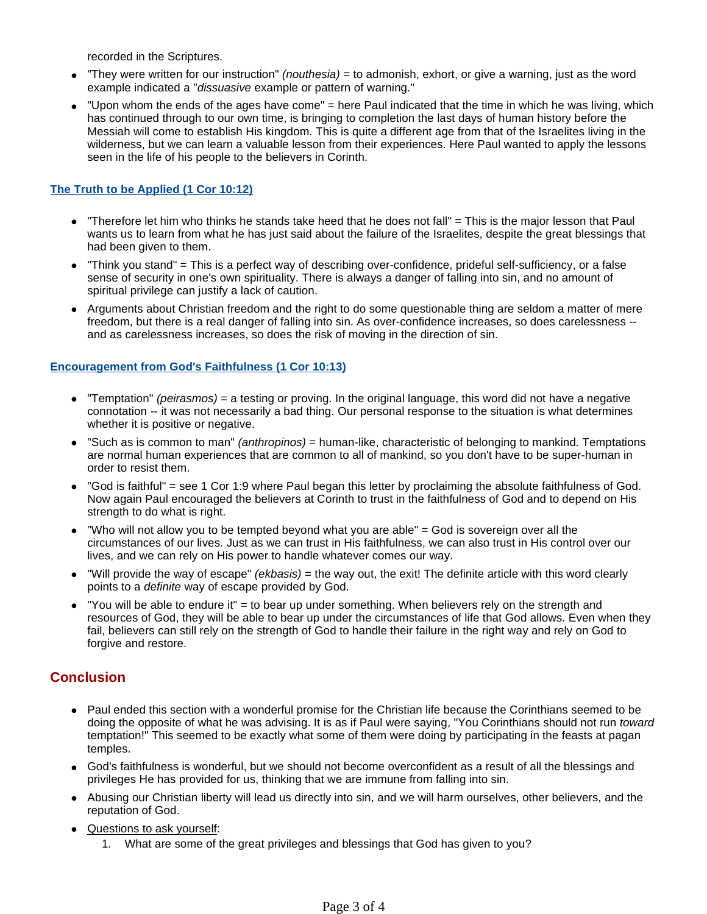recorded in the Scriptures.

- "They were written for our instruction" (nouthesia) = to admonish, exhort, or give a warning, just as the word example indicated a "dissuasive example or pattern of warning."
- "Upon whom the ends of the ages have come" = here Paul indicated that the time in which he was living, which has continued through to our own time, is bringing to completion the last days of human history before the Messiah will come to establish His kingdom. This is quite a different age from that of the Israelites living in the wilderness, but we can learn a valuable lesson from their experiences. Here Paul wanted to apply the lessons seen in the life of his people to the believers in Corinth.

## **The Truth to be Applied (1 Cor 10:12)**

- "Therefore let him who thinks he stands take heed that he does not fall" = This is the major lesson that Paul wants us to learn from what he has just said about the failure of the Israelites, despite the great blessings that had been given to them.
- "Think you stand" = This is a perfect way of describing over-confidence, prideful self-sufficiency, or a false sense of security in one's own spirituality. There is always a danger of falling into sin, and no amount of spiritual privilege can justify a lack of caution.
- Arguments about Christian freedom and the right to do some questionable thing are seldom a matter of mere freedom, but there is a real danger of falling into sin. As over-confidence increases, so does carelessness - and as carelessness increases, so does the risk of moving in the direction of sin.

#### **Encouragement from God's Faithfulness (1 Cor 10:13)**

- $\bullet$  "Temptation" *(peirasmos)* = a testing or proving. In the original language, this word did not have a negative connotation -- it was not necessarily a bad thing. Our personal response to the situation is what determines whether it is positive or negative.
- "Such as is common to man" *(anthropinos)* = human-like, characteristic of belonging to mankind. Temptations are normal human experiences that are common to all of mankind, so you don't have to be super-human in order to resist them.
- "God is faithful" = see 1 Cor 1:9 where Paul began this letter by proclaiming the absolute faithfulness of God. Now again Paul encouraged the believers at Corinth to trust in the faithfulness of God and to depend on His strength to do what is right.
- $\bullet$  "Who will not allow you to be tempted beyond what you are able" = God is sovereign over all the circumstances of our lives. Just as we can trust in His faithfulness, we can also trust in His control over our lives, and we can rely on His power to handle whatever comes our way.
- $\bullet$  "Will provide the way of escape" (ekbasis) = the way out, the exit! The definite article with this word clearly points to a definite way of escape provided by God.
- "You will be able to endure it" = to bear up under something. When believers rely on the strength and resources of God, they will be able to bear up under the circumstances of life that God allows. Even when they fail, believers can still rely on the strength of God to handle their failure in the right way and rely on God to forgive and restore.

## **Conclusion**

- Paul ended this section with a wonderful promise for the Christian life because the Corinthians seemed to be doing the opposite of what he was advising. It is as if Paul were saying, "You Corinthians should not run toward temptation!" This seemed to be exactly what some of them were doing by participating in the feasts at pagan temples.
- God's faithfulness is wonderful, but we should not become overconfident as a result of all the blessings and privileges He has provided for us, thinking that we are immune from falling into sin.
- Abusing our Christian liberty will lead us directly into sin, and we will harm ourselves, other believers, and the reputation of God.
- Questions to ask yourself:
	- 1. What are some of the great privileges and blessings that God has given to you?